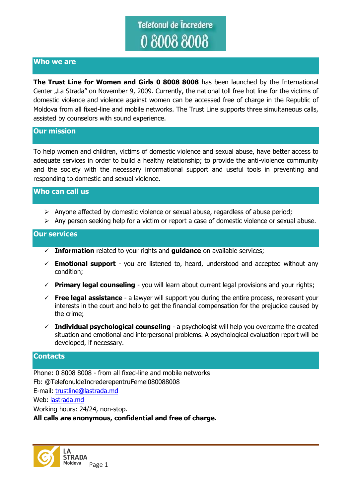# Telefonul de Încredere 080088008

## **Who we are**

**The Trust Line for Women and Girls 0 8008 8008** has been launched by the International Center "La Strada" on November 9, 2009. Currently, the national toll free hot line for the victims of domestic violence and violence against women can be accessed free of charge in the Republic of Moldova from all fixed-line and mobile networks. The Trust Line supports three simultaneous calls, assisted by counselors with sound experience.

### **Our mission**

To help women and children, victims of domestic violence and sexual abuse, have better access to adequate services in order to build a healthy relationship; to provide the anti-violence community and the society with the necessary informational support and useful tools in preventing and responding to domestic and sexual violence.

# **Who can call us**

- $\triangleright$  Anyone affected by domestic violence or sexual abuse, regardless of abuse period;
- Any person seeking help for a victim or report a case of domestic violence or sexual abuse.

### **Our services**

- **Information** related to your rights and **guidance** on available services;
- $\checkmark$  **Emotional support** you are listened to, heard, understood and accepted without any condition;
- **Primary legal counseling** you will learn about current legal provisions and your rights;
- **Free legal assistance** a lawyer will support you during the entire process, represent your interests in the court and help to get the financial compensation for the prejudice caused by the crime;
- **Individual psychological counseling** a psychologist will help you overcome the created situation and emotional and interpersonal problems. A psychological evaluation report will be developed, if necessary.

### **Contacts**

Phone: 0 8008 8008 - from all fixed-line and mobile networks Fb: @TelefonuldeIncrederepentruFemei080088008 E-mail: [trustline@lastrada.md](mailto:trustline@lastrada.md) Web: [lastrada.md](http://lastrada.md/) Working hours: 24/24, non-stop. **All calls are anonymous, confidential and free of charge.** 

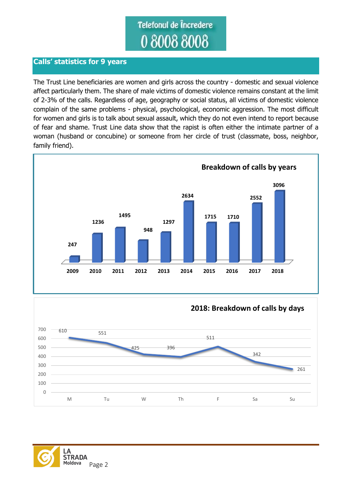# Telefonul de Încredere

# **Calls' statistics for 9 years**

The Trust Line beneficiaries are women and girls across the country - domestic and sexual violence affect particularly them. The share of male victims of domestic violence remains constant at the limit of 2-3% of the calls. Regardless of age, geography or social status, all victims of domestic violence complain of the same problems - physical, psychological, economic aggression. The most difficult for women and girls is to talk about sexual assault, which they do not even intend to report because of fear and shame. Trust Line data show that the rapist is often either the intimate partner of a woman (husband or concubine) or someone from her circle of trust (classmate, boss, neighbor, family friend).





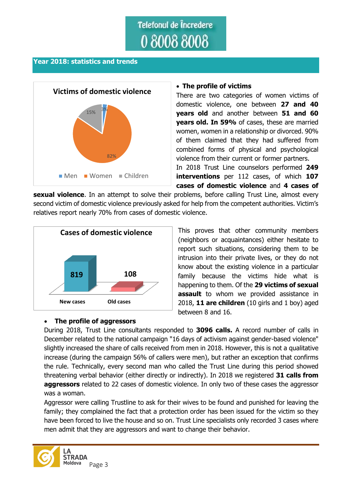# Telefonul de Încredere 080088008

### **Year 2018: statistics and trends**



### **The profile of victims**

There are two categories of women victims of domestic violence, one between **27 and 40 years old** and another between **51 and 60 years old. In 59%** of cases, these are married women, women in a relationship or divorced. 90% of them claimed that they had suffered from combined forms of physical and psychological violence from their current or former partners. In 2018 Trust Line counselors performed **249 interventions** per 112 cases, of which **107 cases of domestic violence** and **4 cases of** 

**sexual violence**. In an attempt to solve their problems, before calling Trust Line, almost every second victim of domestic violence previously asked for help from the competent authorities. Victim's relatives report nearly 70% from cases of domestic violence.



# **The profile of aggressors**

This proves that other community members (neighbors or acquaintances) either hesitate to report such situations, considering them to be intrusion into their private lives, or they do not know about the existing violence in a particular family because the victims hide what is happening to them. Of the **29 victims of sexual assault** to whom we provided assistance in 2018, **11 are children** (10 girls and 1 boy) aged between 8 and 16.

During 2018, Trust Line consultants responded to **3096 calls.** A record number of calls in December related to the national campaign "16 days of activism against gender-based violence" slightly increased the share of calls received from men in 2018. However, this is not a qualitative increase (during the campaign 56% of callers were men), but rather an exception that confirms the rule. Technically, every second man who called the Trust Line during this period showed threatening verbal behavior (either directly or indirectly). In 2018 we registered **31 calls from aggressors** related to 22 cases of domestic violence. In only two of these cases the aggressor was a woman.

Aggressor were calling Trustline to ask for their wives to be found and punished for leaving the family; they complained the fact that a protection order has been issued for the victim so they have been forced to live the house and so on. Trust Line specialists only recorded 3 cases where men admit that they are aggressors and want to change their behavior.